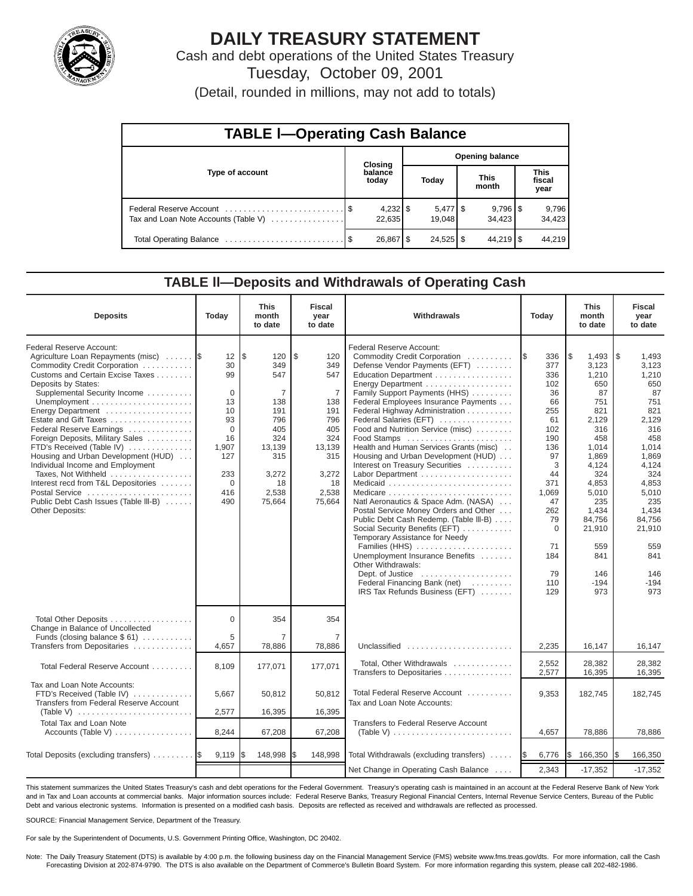

# **DAILY TREASURY STATEMENT**

Cash and debt operations of the United States Treasury Tuesday, October 09, 2001

(Detail, rounded in millions, may not add to totals)

| <b>TABLE I-Operating Cash Balance</b> |  |                      |                        |                                 |                      |                        |  |                               |  |  |  |
|---------------------------------------|--|----------------------|------------------------|---------------------------------|----------------------|------------------------|--|-------------------------------|--|--|--|
|                                       |  | Closing              | <b>Opening balance</b> |                                 |                      |                        |  |                               |  |  |  |
| Type of account                       |  | balance<br>today     |                        | Today                           | <b>This</b><br>month |                        |  | <b>This</b><br>fiscal<br>year |  |  |  |
| Tax and Loan Note Accounts (Table V)  |  | $4,232$ \$<br>22,635 |                        | $5,477$ $\frac{6}{9}$<br>19.048 |                      | $9,796$ \ \$<br>34.423 |  | 9,796<br>34,423               |  |  |  |
|                                       |  | 26,867   \$          |                        | $24,525$ \$                     |                      | $44,219$ $\sqrt{5}$    |  | 44.219                        |  |  |  |

#### **TABLE ll—Deposits and Withdrawals of Operating Cash**

| <b>Deposits</b>                                                                                                                                                                                                                                                                                                                                                                                                                                                                                                                                             | Today                                                                                                                 | <b>This</b><br>month<br>to date                                                                                     | <b>Fiscal</b><br>year<br>to date                                                                                                | Withdrawals<br>Today                                                                                                                                                                                                                                                                                                                                                                                                                                                                                                                                                                                                                                                                                                                                                                                                                     |                                                                                                                                                                         | <b>This</b><br>month<br>to date                                                                                                                                                                               | <b>Fiscal</b><br>year<br>to date                                                                                                                                                                                |
|-------------------------------------------------------------------------------------------------------------------------------------------------------------------------------------------------------------------------------------------------------------------------------------------------------------------------------------------------------------------------------------------------------------------------------------------------------------------------------------------------------------------------------------------------------------|-----------------------------------------------------------------------------------------------------------------------|---------------------------------------------------------------------------------------------------------------------|---------------------------------------------------------------------------------------------------------------------------------|------------------------------------------------------------------------------------------------------------------------------------------------------------------------------------------------------------------------------------------------------------------------------------------------------------------------------------------------------------------------------------------------------------------------------------------------------------------------------------------------------------------------------------------------------------------------------------------------------------------------------------------------------------------------------------------------------------------------------------------------------------------------------------------------------------------------------------------|-------------------------------------------------------------------------------------------------------------------------------------------------------------------------|---------------------------------------------------------------------------------------------------------------------------------------------------------------------------------------------------------------|-----------------------------------------------------------------------------------------------------------------------------------------------------------------------------------------------------------------|
| Federal Reserve Account:<br>Agriculture Loan Repayments (misc)<br>Commodity Credit Corporation<br>Customs and Certain Excise Taxes<br>Deposits by States:<br>Supplemental Security Income<br>Energy Department<br>Estate and Gift Taxes<br>Federal Reserve Earnings<br>Foreign Deposits, Military Sales<br>FTD's Received (Table IV)<br>Housing and Urban Development (HUD)<br>Individual Income and Employment<br>Taxes, Not Withheld<br>Interest recd from T&L Depositories<br>Postal Service<br>Public Debt Cash Issues (Table III-B)<br>Other Deposits: | 12<br>30<br>99<br>$\mathbf 0$<br>13<br>10<br>93<br>$\Omega$<br>16<br>1,907<br>127<br>233<br>$\mathbf 0$<br>416<br>490 | l\$<br>120<br>349<br>547<br>7<br>138<br>191<br>796<br>405<br>324<br>13,139<br>315<br>3,272<br>18<br>2,538<br>75,664 | \$<br>120<br>349<br>547<br>$\overline{7}$<br>138<br>191<br>796<br>405<br>324<br>13,139<br>315<br>3,272<br>18<br>2,538<br>75,664 | Federal Reserve Account:<br>Commodity Credit Corporation<br>Defense Vendor Payments (EFT)<br>Education Department<br>Energy Department<br>Family Support Payments (HHS)<br>Federal Employees Insurance Payments<br>Federal Highway Administration<br>Federal Salaries (EFT)<br>Food and Nutrition Service (misc)<br>Food Stamps<br>Health and Human Services Grants (misc)<br>Housing and Urban Development (HUD)<br>Interest on Treasury Securities<br>Labor Department<br>Natl Aeronautics & Space Adm. (NASA)<br>Postal Service Money Orders and Other<br>Public Debt Cash Redemp. (Table III-B)<br>Social Security Benefits (EFT)<br>Temporary Assistance for Needy<br>Families (HHS)<br>Unemployment Insurance Benefits<br>Other Withdrawals:<br>Dept. of Justice<br>Federal Financing Bank (net)<br>IRS Tax Refunds Business (EFT) | 336<br>I\$<br>377<br>336<br>102<br>36<br>66<br>255<br>61<br>102<br>190<br>136<br>97<br>3<br>44<br>371<br>1,069<br>47<br>262<br>79<br>0<br>71<br>184<br>79<br>110<br>129 | \$<br>1,493<br>3,123<br>1,210<br>650<br>87<br>751<br>821<br>2,129<br>316<br>458<br>1,014<br>1,869<br>4,124<br>324<br>4,853<br>5,010<br>235<br>1,434<br>84,756<br>21,910<br>559<br>841<br>146<br>$-194$<br>973 | l \$<br>1,493<br>3,123<br>1,210<br>650<br>87<br>751<br>821<br>2,129<br>316<br>458<br>1,014<br>1,869<br>4,124<br>324<br>4,853<br>5,010<br>235<br>1,434<br>84,756<br>21,910<br>559<br>841<br>146<br>$-194$<br>973 |
| Total Other Deposits<br>Change in Balance of Uncollected<br>Funds (closing balance \$61)                                                                                                                                                                                                                                                                                                                                                                                                                                                                    | $\Omega$<br>5                                                                                                         | 354<br>$\overline{7}$                                                                                               | 354<br>$\overline{7}$                                                                                                           |                                                                                                                                                                                                                                                                                                                                                                                                                                                                                                                                                                                                                                                                                                                                                                                                                                          |                                                                                                                                                                         |                                                                                                                                                                                                               |                                                                                                                                                                                                                 |
| Transfers from Depositaries                                                                                                                                                                                                                                                                                                                                                                                                                                                                                                                                 | 4,657                                                                                                                 | 78,886                                                                                                              | 78,886                                                                                                                          | Unclassified                                                                                                                                                                                                                                                                                                                                                                                                                                                                                                                                                                                                                                                                                                                                                                                                                             | 2,235                                                                                                                                                                   | 16,147                                                                                                                                                                                                        | 16,147                                                                                                                                                                                                          |
| Total Federal Reserve Account                                                                                                                                                                                                                                                                                                                                                                                                                                                                                                                               | 8,109                                                                                                                 | 177,071                                                                                                             | 177,071                                                                                                                         | Total, Other Withdrawals<br>Transfers to Depositaries                                                                                                                                                                                                                                                                                                                                                                                                                                                                                                                                                                                                                                                                                                                                                                                    | 2,552<br>2,577                                                                                                                                                          | 28.382<br>16,395                                                                                                                                                                                              | 28.382<br>16,395                                                                                                                                                                                                |
| Tax and Loan Note Accounts:<br>FTD's Received (Table IV)<br>Transfers from Federal Reserve Account                                                                                                                                                                                                                                                                                                                                                                                                                                                          | 5,667                                                                                                                 | 50,812                                                                                                              | 50,812                                                                                                                          | Total Federal Reserve Account<br>Tax and Loan Note Accounts:                                                                                                                                                                                                                                                                                                                                                                                                                                                                                                                                                                                                                                                                                                                                                                             | 9,353                                                                                                                                                                   | 182,745                                                                                                                                                                                                       | 182,745                                                                                                                                                                                                         |
| (Table V)<br><b>Total Tax and Loan Note</b>                                                                                                                                                                                                                                                                                                                                                                                                                                                                                                                 | 2,577                                                                                                                 | 16,395                                                                                                              | 16,395                                                                                                                          | <b>Transfers to Federal Reserve Account</b>                                                                                                                                                                                                                                                                                                                                                                                                                                                                                                                                                                                                                                                                                                                                                                                              |                                                                                                                                                                         |                                                                                                                                                                                                               |                                                                                                                                                                                                                 |
| Accounts (Table V)                                                                                                                                                                                                                                                                                                                                                                                                                                                                                                                                          | 8,244                                                                                                                 | 67,208                                                                                                              | 67,208                                                                                                                          | (Table V) $\ldots \ldots \ldots \ldots \ldots \ldots \ldots \ldots$                                                                                                                                                                                                                                                                                                                                                                                                                                                                                                                                                                                                                                                                                                                                                                      | 4,657                                                                                                                                                                   | 78,886                                                                                                                                                                                                        | 78,886                                                                                                                                                                                                          |
| Total Deposits (excluding transfers)                                                                                                                                                                                                                                                                                                                                                                                                                                                                                                                        | 9,119                                                                                                                 | 148,998                                                                                                             | \$<br>148,998                                                                                                                   | Total Withdrawals (excluding transfers)                                                                                                                                                                                                                                                                                                                                                                                                                                                                                                                                                                                                                                                                                                                                                                                                  | 6,776<br>I\$                                                                                                                                                            | l\$<br>166,350                                                                                                                                                                                                | 166,350<br>I\$                                                                                                                                                                                                  |
|                                                                                                                                                                                                                                                                                                                                                                                                                                                                                                                                                             |                                                                                                                       |                                                                                                                     |                                                                                                                                 | Net Change in Operating Cash Balance                                                                                                                                                                                                                                                                                                                                                                                                                                                                                                                                                                                                                                                                                                                                                                                                     | 2,343                                                                                                                                                                   | $-17,352$                                                                                                                                                                                                     | $-17,352$                                                                                                                                                                                                       |

This statement summarizes the United States Treasury's cash and debt operations for the Federal Government. Treasury's operating cash is maintained in an account at the Federal Reserve Bank of New York and in Tax and Loan accounts at commercial banks. Major information sources include: Federal Reserve Banks, Treasury Regional Financial Centers, Internal Revenue Service Centers, Bureau of the Public Debt and various electronic systems. Information is presented on a modified cash basis. Deposits are reflected as received and withdrawals are reflected as processed.

SOURCE: Financial Management Service, Department of the Treasury.

For sale by the Superintendent of Documents, U.S. Government Printing Office, Washington, DC 20402.

Note: The Daily Treasury Statement (DTS) is available by 4:00 p.m. the following business day on the Financial Management Service (FMS) website www.fms.treas.gov/dts. For more information, call the Cash Forecasting Division at 202-874-9790. The DTS is also available on the Department of Commerce's Bulletin Board System. For more information regarding this system, please call 202-482-1986.